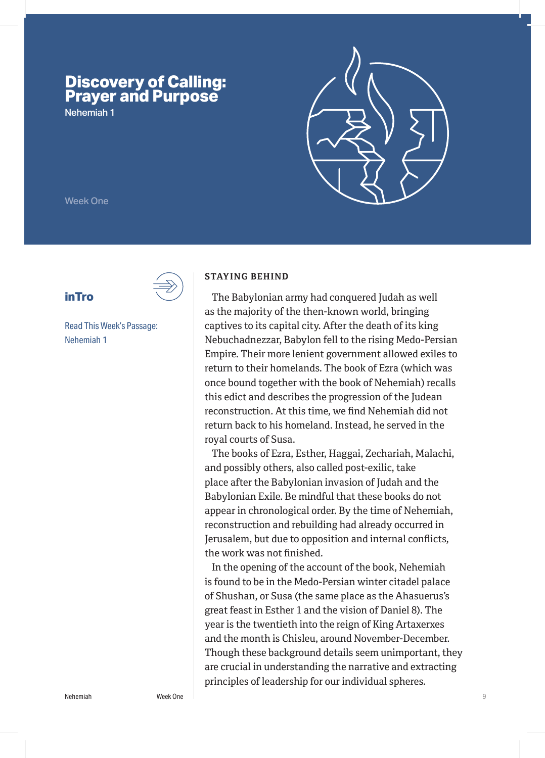# **Discovery of Calling: Prayer and Purpose**

Nehemiah 1



Week One

**inTro**



Read This Week's Passage: Nehemiah 1

#### **STAYING BEHIND**

The Babylonian army had conquered Judah as well as the majority of the then-known world, bringing captives to its capital city. After the death of its king Nebuchadnezzar, Babylon fell to the rising Medo-Persian Empire. Their more lenient government allowed exiles to return to their homelands. The book of Ezra (which was once bound together with the book of Nehemiah) recalls this edict and describes the progression of the Judean reconstruction. At this time, we find Nehemiah did not return back to his homeland. Instead, he served in the royal courts of Susa.

The books of Ezra, Esther, Haggai, Zechariah, Malachi, and possibly others, also called post-exilic, take place after the Babylonian invasion of Judah and the Babylonian Exile. Be mindful that these books do not appear in chronological order. By the time of Nehemiah, reconstruction and rebuilding had already occurred in Jerusalem, but due to opposition and internal conflicts, the work was not finished.

In the opening of the account of the book, Nehemiah is found to be in the Medo-Persian winter citadel palace of Shushan, or Susa (the same place as the Ahasuerus's great feast in Esther 1 and the vision of Daniel 8). The year is the twentieth into the reign of King Artaxerxes and the month is Chisleu, around November-December. Though these background details seem unimportant, they are crucial in understanding the narrative and extracting principles of leadership for our individual spheres.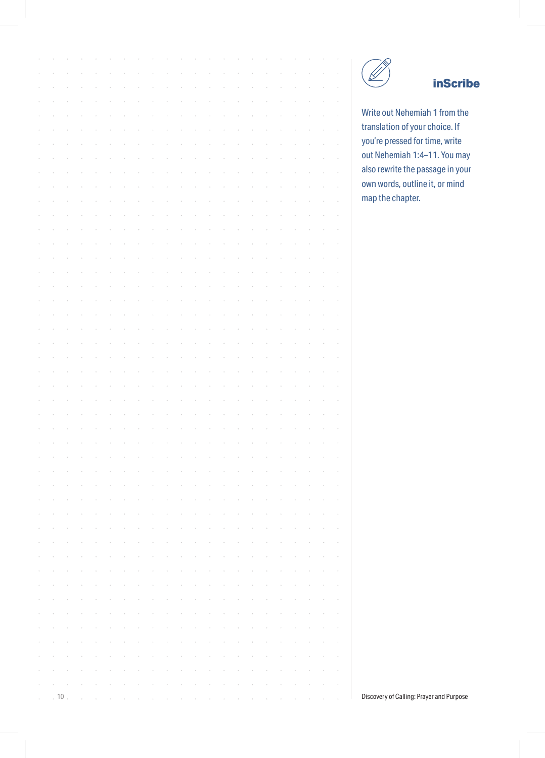| <b>inScrib</b> |                                          |  |  |  |  |  |  |  |  |  |    |          |
|----------------|------------------------------------------|--|--|--|--|--|--|--|--|--|----|----------|
|                |                                          |  |  |  |  |  |  |  |  |  |    |          |
|                | Write out Nehemiah 1 from the            |  |  |  |  |  |  |  |  |  |    |          |
|                | translation of your choice. If           |  |  |  |  |  |  |  |  |  |    |          |
|                | you're pressed for time, write           |  |  |  |  |  |  |  |  |  |    |          |
|                | out Nehemiah 1:4-11. You may             |  |  |  |  |  |  |  |  |  |    |          |
|                | also rewrite the passage in you          |  |  |  |  |  |  |  |  |  |    |          |
|                | own words, outline it, or mind           |  |  |  |  |  |  |  |  |  |    |          |
|                | map the chapter.                         |  |  |  |  |  |  |  |  |  |    |          |
|                |                                          |  |  |  |  |  |  |  |  |  |    |          |
|                |                                          |  |  |  |  |  |  |  |  |  |    |          |
|                |                                          |  |  |  |  |  |  |  |  |  |    |          |
|                |                                          |  |  |  |  |  |  |  |  |  |    |          |
|                |                                          |  |  |  |  |  |  |  |  |  |    |          |
|                |                                          |  |  |  |  |  |  |  |  |  |    |          |
|                |                                          |  |  |  |  |  |  |  |  |  |    |          |
|                |                                          |  |  |  |  |  |  |  |  |  |    |          |
|                |                                          |  |  |  |  |  |  |  |  |  |    |          |
|                |                                          |  |  |  |  |  |  |  |  |  |    |          |
|                |                                          |  |  |  |  |  |  |  |  |  |    |          |
|                |                                          |  |  |  |  |  |  |  |  |  |    |          |
|                |                                          |  |  |  |  |  |  |  |  |  |    |          |
|                |                                          |  |  |  |  |  |  |  |  |  |    |          |
|                |                                          |  |  |  |  |  |  |  |  |  |    |          |
|                |                                          |  |  |  |  |  |  |  |  |  |    |          |
|                |                                          |  |  |  |  |  |  |  |  |  |    |          |
|                |                                          |  |  |  |  |  |  |  |  |  |    |          |
|                |                                          |  |  |  |  |  |  |  |  |  |    |          |
|                |                                          |  |  |  |  |  |  |  |  |  |    |          |
|                |                                          |  |  |  |  |  |  |  |  |  |    |          |
|                |                                          |  |  |  |  |  |  |  |  |  |    |          |
|                |                                          |  |  |  |  |  |  |  |  |  |    |          |
|                |                                          |  |  |  |  |  |  |  |  |  |    |          |
|                |                                          |  |  |  |  |  |  |  |  |  |    |          |
|                |                                          |  |  |  |  |  |  |  |  |  |    |          |
|                |                                          |  |  |  |  |  |  |  |  |  |    |          |
|                |                                          |  |  |  |  |  |  |  |  |  |    |          |
|                |                                          |  |  |  |  |  |  |  |  |  |    |          |
|                |                                          |  |  |  |  |  |  |  |  |  |    |          |
|                |                                          |  |  |  |  |  |  |  |  |  |    |          |
|                |                                          |  |  |  |  |  |  |  |  |  |    |          |
|                |                                          |  |  |  |  |  |  |  |  |  |    |          |
|                | Discovery of Calling: Prayer and Purpose |  |  |  |  |  |  |  |  |  | 10 | $\alpha$ |
|                |                                          |  |  |  |  |  |  |  |  |  |    |          |



### **inScribe**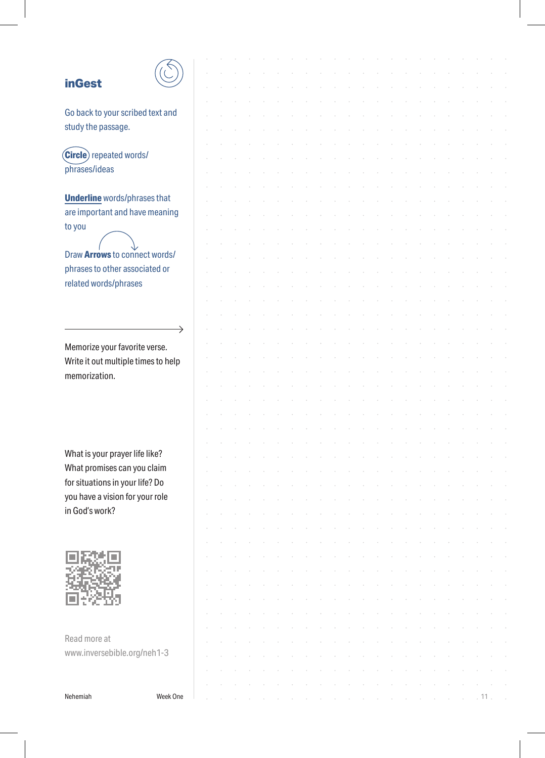### **inGest**



 $\rightarrow$ 

Go back to your scribed text and study the passage.

**Circle** repeated words/ phrases/ideas

**Underline** words/phrases that are important and have meaning to you

Draw **Arrows** to connect words/ phrases to other associated or related words/phrases

Memorize your favorite verse. Write it out multiple times to help memorization.

What is your prayer life like? What promises can you claim for situations in your life? Do you have a vision for your role in God's work?



Read more at www.inversebible.org/neh1-3

Nehemiah Week One 11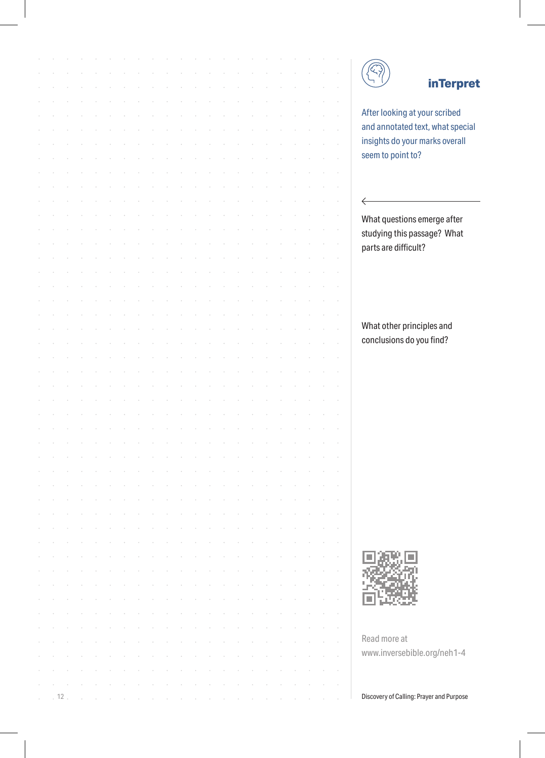|  |    |  |  |  |  |  |  |  |  |  | <b>inTerpr</b>                           |
|--|----|--|--|--|--|--|--|--|--|--|------------------------------------------|
|  |    |  |  |  |  |  |  |  |  |  |                                          |
|  |    |  |  |  |  |  |  |  |  |  | After looking at your scribed            |
|  |    |  |  |  |  |  |  |  |  |  | and annotated text, what speci           |
|  |    |  |  |  |  |  |  |  |  |  | insights do your marks overall           |
|  |    |  |  |  |  |  |  |  |  |  | seem to point to?                        |
|  |    |  |  |  |  |  |  |  |  |  |                                          |
|  |    |  |  |  |  |  |  |  |  |  |                                          |
|  |    |  |  |  |  |  |  |  |  |  | ←                                        |
|  |    |  |  |  |  |  |  |  |  |  | What questions emerge after              |
|  |    |  |  |  |  |  |  |  |  |  | studying this passage? What              |
|  |    |  |  |  |  |  |  |  |  |  | parts are difficult?                     |
|  |    |  |  |  |  |  |  |  |  |  |                                          |
|  |    |  |  |  |  |  |  |  |  |  |                                          |
|  |    |  |  |  |  |  |  |  |  |  |                                          |
|  |    |  |  |  |  |  |  |  |  |  |                                          |
|  |    |  |  |  |  |  |  |  |  |  |                                          |
|  |    |  |  |  |  |  |  |  |  |  | What other principles and                |
|  |    |  |  |  |  |  |  |  |  |  | conclusions do you find?                 |
|  |    |  |  |  |  |  |  |  |  |  |                                          |
|  |    |  |  |  |  |  |  |  |  |  |                                          |
|  |    |  |  |  |  |  |  |  |  |  |                                          |
|  |    |  |  |  |  |  |  |  |  |  |                                          |
|  |    |  |  |  |  |  |  |  |  |  |                                          |
|  |    |  |  |  |  |  |  |  |  |  |                                          |
|  |    |  |  |  |  |  |  |  |  |  |                                          |
|  |    |  |  |  |  |  |  |  |  |  |                                          |
|  |    |  |  |  |  |  |  |  |  |  |                                          |
|  |    |  |  |  |  |  |  |  |  |  |                                          |
|  |    |  |  |  |  |  |  |  |  |  |                                          |
|  |    |  |  |  |  |  |  |  |  |  |                                          |
|  |    |  |  |  |  |  |  |  |  |  |                                          |
|  |    |  |  |  |  |  |  |  |  |  |                                          |
|  |    |  |  |  |  |  |  |  |  |  |                                          |
|  |    |  |  |  |  |  |  |  |  |  |                                          |
|  |    |  |  |  |  |  |  |  |  |  |                                          |
|  |    |  |  |  |  |  |  |  |  |  |                                          |
|  |    |  |  |  |  |  |  |  |  |  |                                          |
|  |    |  |  |  |  |  |  |  |  |  |                                          |
|  |    |  |  |  |  |  |  |  |  |  | Read more at                             |
|  |    |  |  |  |  |  |  |  |  |  | www.inversebible.org/neh1-4              |
|  |    |  |  |  |  |  |  |  |  |  |                                          |
|  |    |  |  |  |  |  |  |  |  |  |                                          |
|  | 12 |  |  |  |  |  |  |  |  |  | Discovery of Calling: Prayer and Purpose |

### **inTerpret**

looking at your scribed annotated text, what special hts do your marks overall to point to?

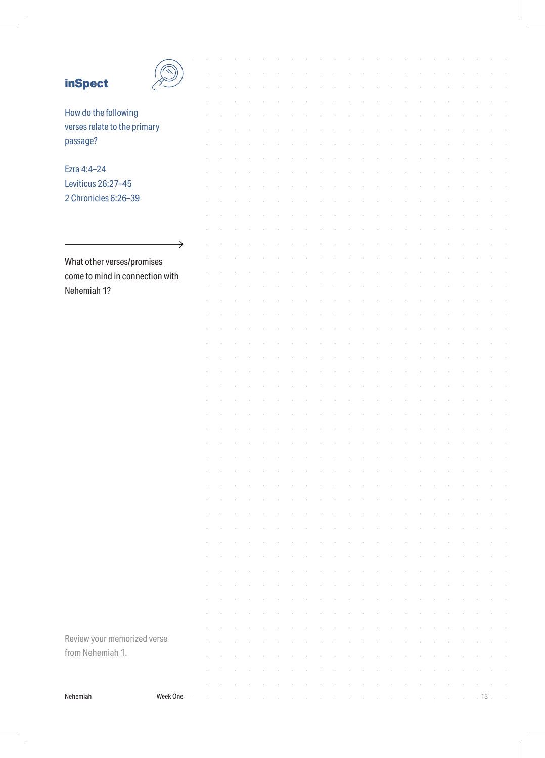# **inSpect**



 $\rightarrow$ 

How do the following verses relate to the primary passage?

Ezra 4:4–24 Leviticus 26:27–45 2 Chronicles 6:26–39

What other verses/promises come to mind in connection with Nehemiah 1?

Review your memorized verse from Nehemiah 1.

Nehemiah Week One 13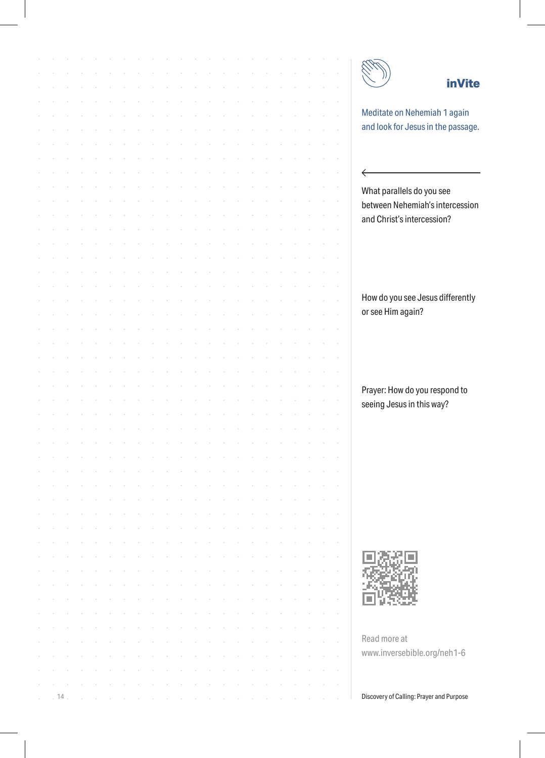|    |  |  |  |  |  |  |  |  |  |  | <b>inVite</b>                            |
|----|--|--|--|--|--|--|--|--|--|--|------------------------------------------|
|    |  |  |  |  |  |  |  |  |  |  |                                          |
|    |  |  |  |  |  |  |  |  |  |  | Meditate on Nehemiah 1 again             |
|    |  |  |  |  |  |  |  |  |  |  | and look for Jesus in the passage.       |
|    |  |  |  |  |  |  |  |  |  |  |                                          |
|    |  |  |  |  |  |  |  |  |  |  |                                          |
|    |  |  |  |  |  |  |  |  |  |  |                                          |
|    |  |  |  |  |  |  |  |  |  |  | $\leftarrow$                             |
|    |  |  |  |  |  |  |  |  |  |  | What parallels do you see                |
|    |  |  |  |  |  |  |  |  |  |  | between Nehemiah's intercession          |
|    |  |  |  |  |  |  |  |  |  |  | and Christ's intercession?               |
|    |  |  |  |  |  |  |  |  |  |  |                                          |
|    |  |  |  |  |  |  |  |  |  |  |                                          |
|    |  |  |  |  |  |  |  |  |  |  |                                          |
|    |  |  |  |  |  |  |  |  |  |  |                                          |
|    |  |  |  |  |  |  |  |  |  |  |                                          |
|    |  |  |  |  |  |  |  |  |  |  | How do you see Jesus differently         |
|    |  |  |  |  |  |  |  |  |  |  | or see Him again?                        |
|    |  |  |  |  |  |  |  |  |  |  |                                          |
|    |  |  |  |  |  |  |  |  |  |  |                                          |
|    |  |  |  |  |  |  |  |  |  |  |                                          |
|    |  |  |  |  |  |  |  |  |  |  |                                          |
|    |  |  |  |  |  |  |  |  |  |  |                                          |
|    |  |  |  |  |  |  |  |  |  |  | Prayer: How do you respond to            |
|    |  |  |  |  |  |  |  |  |  |  | seeing Jesus in this way?                |
|    |  |  |  |  |  |  |  |  |  |  |                                          |
|    |  |  |  |  |  |  |  |  |  |  |                                          |
|    |  |  |  |  |  |  |  |  |  |  |                                          |
|    |  |  |  |  |  |  |  |  |  |  |                                          |
|    |  |  |  |  |  |  |  |  |  |  |                                          |
|    |  |  |  |  |  |  |  |  |  |  |                                          |
|    |  |  |  |  |  |  |  |  |  |  |                                          |
|    |  |  |  |  |  |  |  |  |  |  |                                          |
|    |  |  |  |  |  |  |  |  |  |  |                                          |
|    |  |  |  |  |  |  |  |  |  |  |                                          |
|    |  |  |  |  |  |  |  |  |  |  |                                          |
|    |  |  |  |  |  |  |  |  |  |  |                                          |
|    |  |  |  |  |  |  |  |  |  |  |                                          |
|    |  |  |  |  |  |  |  |  |  |  |                                          |
|    |  |  |  |  |  |  |  |  |  |  |                                          |
|    |  |  |  |  |  |  |  |  |  |  |                                          |
|    |  |  |  |  |  |  |  |  |  |  |                                          |
|    |  |  |  |  |  |  |  |  |  |  | Read more at                             |
|    |  |  |  |  |  |  |  |  |  |  | www.inversebible.org/neh1-6              |
|    |  |  |  |  |  |  |  |  |  |  |                                          |
|    |  |  |  |  |  |  |  |  |  |  |                                          |
| 14 |  |  |  |  |  |  |  |  |  |  | Discovery of Calling: Prayer and Purpose |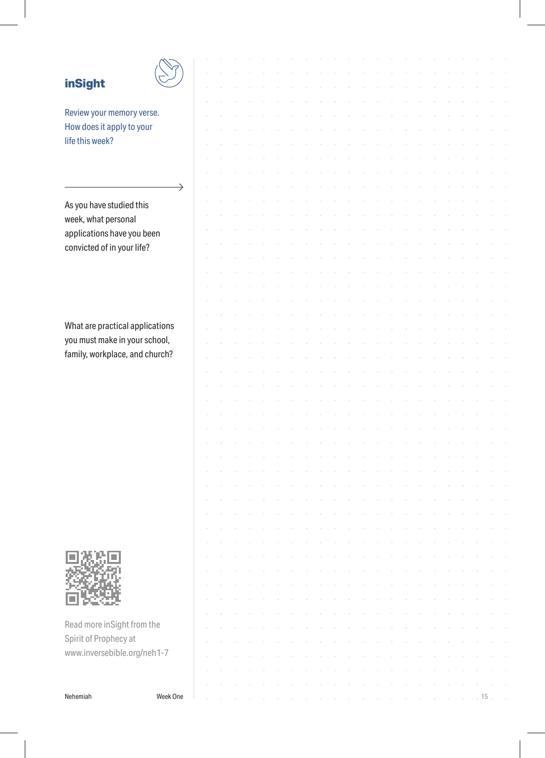## **inSight**



Review your memory verse. How does it apply to your life this week?

As you have studied this week, what personal applications have you been convicted of in your life?

What are practical applications you must make in your school, family, workplace, and church?



Read more inSight from the Spirit of Prophecy at www.inversebible.org/neh1-7

Nehemiah Week One 15